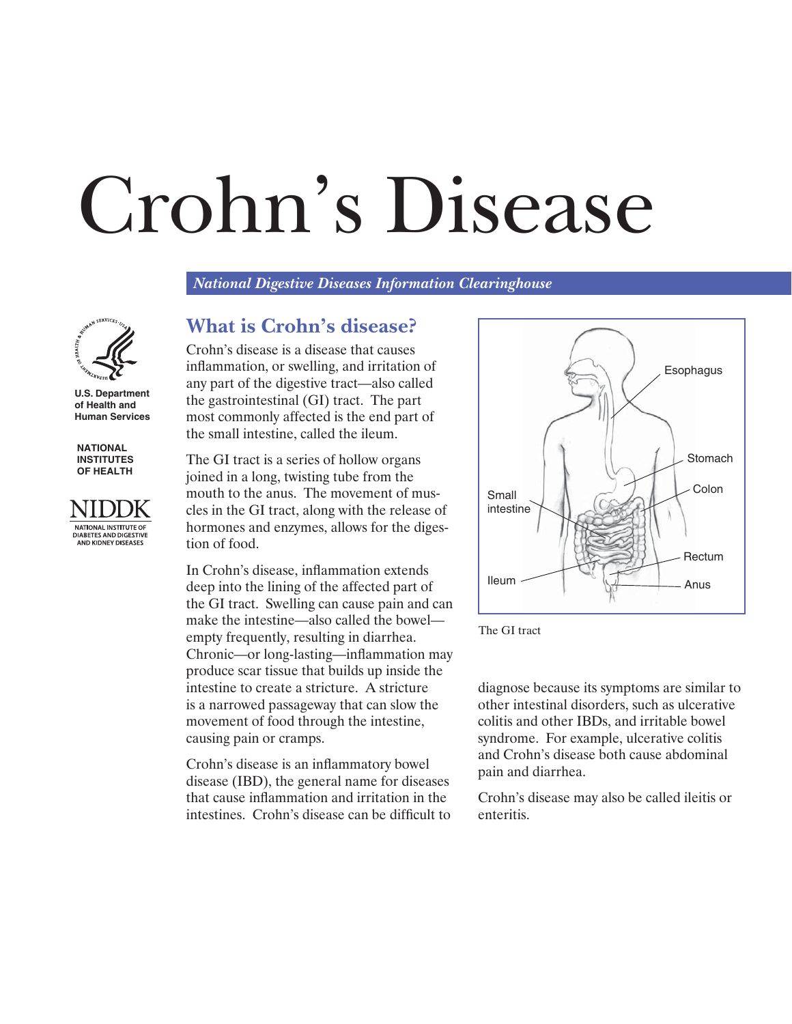# Crohn's Disease

*National Digestive Diseases Information Clearinghouse* 



**U.S. Department of Health and Human Services** 

**NATIONAL INSTITUTES OF HEALTH** 



#### **What is Crohn's disease?**

Crohn's disease is a disease that causes inflammation, or swelling, and irritation of any part of the digestive tract—also called the gastrointestinal (GI) tract. The part most commonly affected is the end part of the small intestine, called the ileum.

The GI tract is a series of hollow organs joined in a long, twisting tube from the mouth to the anus. The movement of muscles in the GI tract, along with the release of hormones and enzymes, allows for the digestion of food.

In Crohn's disease, inflammation extends deep into the lining of the affected part of the GI tract. Swelling can cause pain and can make the intestine—also called the bowel empty frequently, resulting in diarrhea. Chronic—or long-lasting—inflammation may produce scar tissue that builds up inside the intestine to create a stricture. A stricture is a narrowed passageway that can slow the movement of food through the intestine, causing pain or cramps.

Crohn's disease is an inflammatory bowel disease (IBD), the general name for diseases that cause inflammation and irritation in the intestines. Crohn's disease can be difficult to





diagnose because its symptoms are similar to other intestinal disorders, such as ulcerative colitis and other IBDs, and irritable bowel syndrome. For example, ulcerative colitis and Crohn's disease both cause abdominal pain and diarrhea.

Crohn's disease may also be called ileitis or enteritis.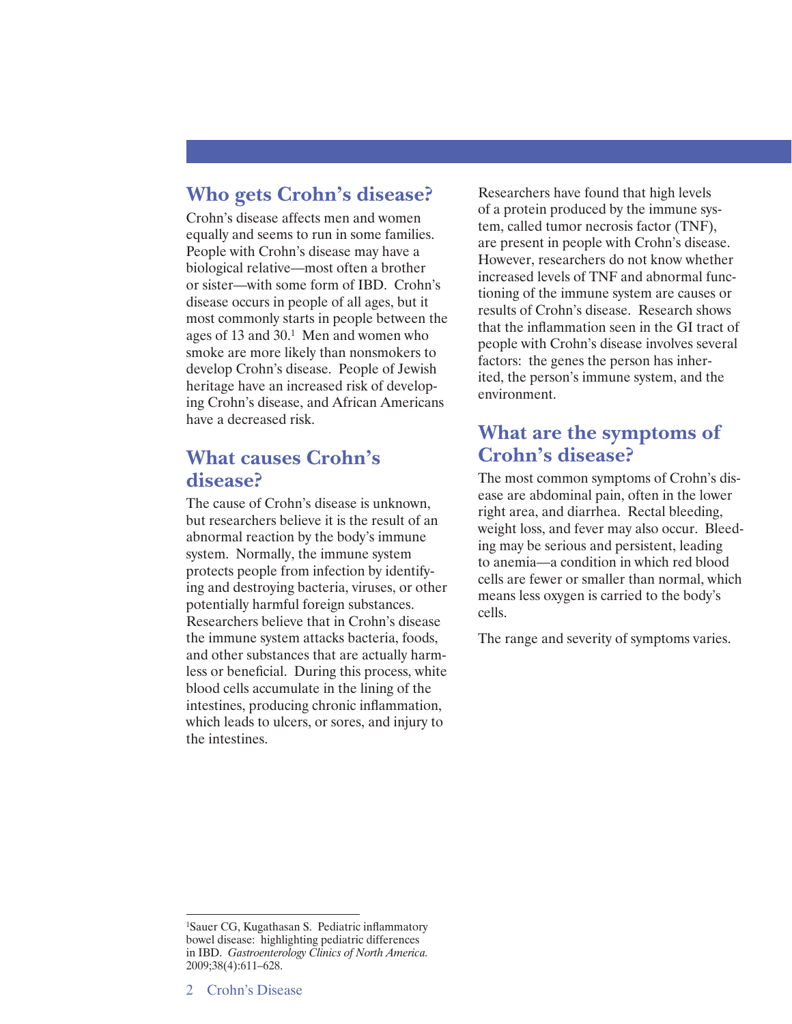#### **Who gets Crohn's disease?**

Crohn's disease affects men and women equally and seems to run in some families. People with Crohn's disease may have a biological relative—most often a brother or sister—with some form of IBD. Crohn's disease occurs in people of all ages, but it most commonly starts in people between the ages of 13 and 30.1 Men and women who smoke are more likely than nonsmokers to develop Crohn's disease. People of Jewish heritage have an increased risk of developing Crohn's disease, and African Americans have a decreased risk.

#### **What causes Crohn's disease?**

The cause of Crohn's disease is unknown, but researchers believe it is the result of an abnormal reaction by the body's immune system. Normally, the immune system protects people from infection by identifying and destroying bacteria, viruses, or other potentially harmful foreign substances. Researchers believe that in Crohn's disease the immune system attacks bacteria, foods, and other substances that are actually harmless or beneficial. During this process, white blood cells accumulate in the lining of the intestines, producing chronic inflammation, which leads to ulcers, or sores, and injury to the intestines.

Researchers have found that high levels of a protein produced by the immune system, called tumor necrosis factor (TNF), are present in people with Crohn's disease. However, researchers do not know whether increased levels of TNF and abnormal functioning of the immune system are causes or results of Crohn's disease. Research shows that the inflammation seen in the GI tract of people with Crohn's disease involves several factors: the genes the person has inherited, the person's immune system, and the environment.

## **What are the symptoms of Crohn's disease?**

The most common symptoms of Crohn's disease are abdominal pain, often in the lower right area, and diarrhea. Rectal bleeding, weight loss, and fever may also occur. Bleeding may be serious and persistent, leading to anemia—a condition in which red blood cells are fewer or smaller than normal, which means less oxygen is carried to the body's cells.

The range and severity of symptoms varies.

<sup>1</sup>Sauer CG, Kugathasan S. Pediatric inflammatory bowel disease: highlighting pediatric differences in IBD. *Gastroenterology Clinics of North America.*  2009;38(4):611–628.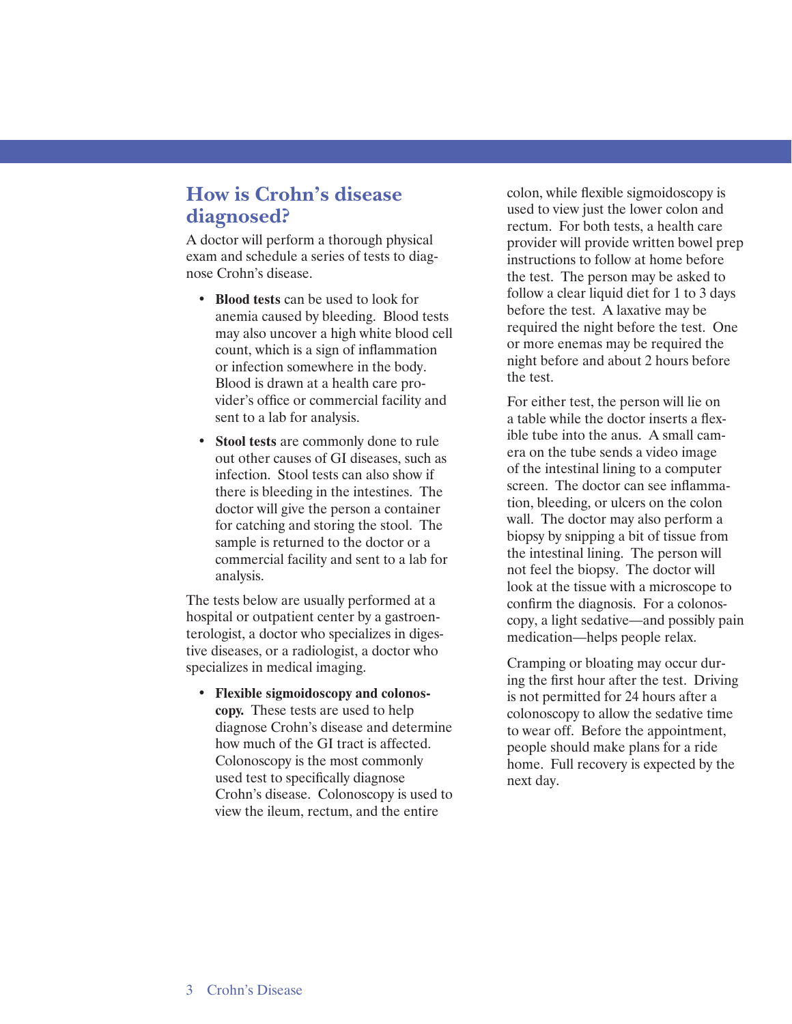# **How is Crohn's disease diagnosed?**

A doctor will perform a thorough physical exam and schedule a series of tests to diagnose Crohn's disease.

- **Blood tests** can be used to look for anemia caused by bleeding. Blood tests may also uncover a high white blood cell count, which is a sign of inflammation or infection somewhere in the body. Blood is drawn at a health care provider's office or commercial facility and sent to a lab for analysis.
- **Stool tests** are commonly done to rule out other causes of GI diseases, such as infection. Stool tests can also show if there is bleeding in the intestines. The doctor will give the person a container for catching and storing the stool. The sample is returned to the doctor or a commercial facility and sent to a lab for analysis.

The tests below are usually performed at a hospital or outpatient center by a gastroenterologist, a doctor who specializes in digestive diseases, or a radiologist, a doctor who specializes in medical imaging.

• **Flexible sigmoidoscopy and colonoscopy.** These tests are used to help diagnose Crohn's disease and determine how much of the GI tract is affected. Colonoscopy is the most commonly used test to specifically diagnose Crohn's disease. Colonoscopy is used to view the ileum, rectum, and the entire

colon, while flexible sigmoidoscopy is used to view just the lower colon and rectum. For both tests, a health care provider will provide written bowel prep instructions to follow at home before the test. The person may be asked to follow a clear liquid diet for 1 to 3 days before the test. A laxative may be required the night before the test. One or more enemas may be required the night before and about 2 hours before the test.

For either test, the person will lie on a table while the doctor inserts a flexible tube into the anus. A small camera on the tube sends a video image of the intestinal lining to a computer screen. The doctor can see inflammation, bleeding, or ulcers on the colon wall. The doctor may also perform a biopsy by snipping a bit of tissue from the intestinal lining. The person will not feel the biopsy. The doctor will look at the tissue with a microscope to confirm the diagnosis. For a colonoscopy, a light sedative—and possibly pain medication—helps people relax.

Cramping or bloating may occur during the first hour after the test. Driving is not permitted for 24 hours after a colonoscopy to allow the sedative time to wear off. Before the appointment, people should make plans for a ride home. Full recovery is expected by the next day.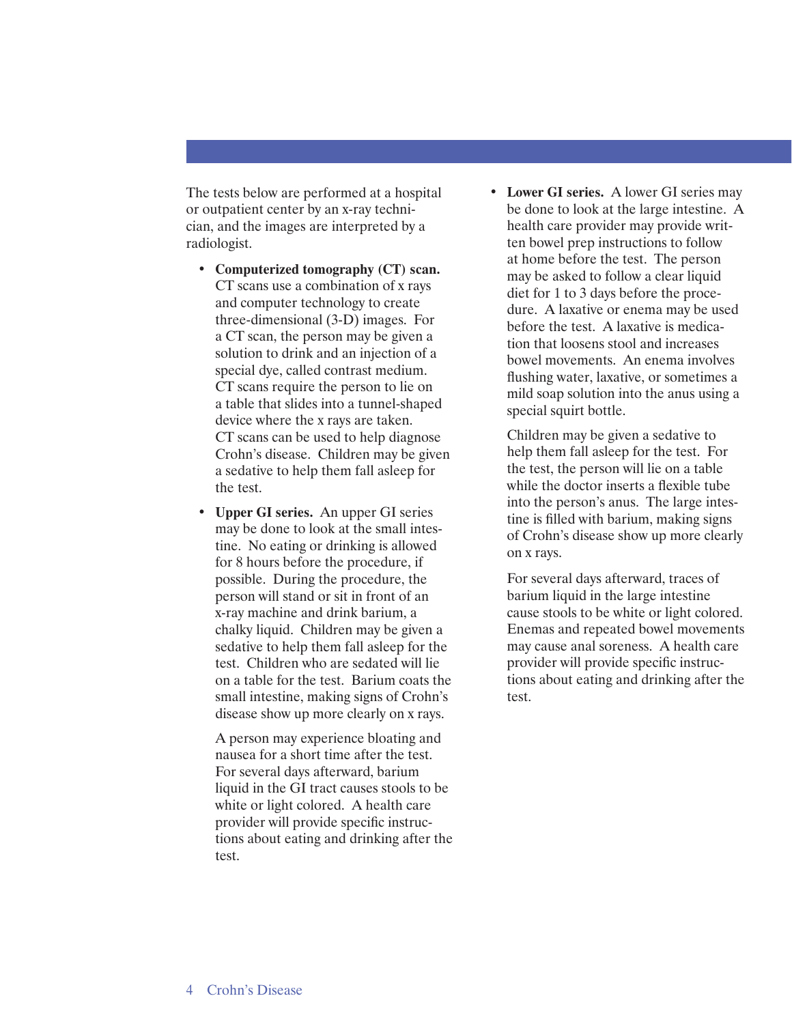The tests below are performed at a hospital or outpatient center by an x-ray technician, and the images are interpreted by a radiologist.

- **Computerized tomography (CT) scan.**  CT scans use a combination of x rays and computer technology to create three-dimensional (3-D) images. For a CT scan, the person may be given a solution to drink and an injection of a special dye, called contrast medium. CT scans require the person to lie on a table that slides into a tunnel-shaped device where the x rays are taken. CT scans can be used to help diagnose Crohn's disease. Children may be given a sedative to help them fall asleep for the test.
- **Upper GI series.** An upper GI series may be done to look at the small intestine. No eating or drinking is allowed for 8 hours before the procedure, if possible. During the procedure, the person will stand or sit in front of an x-ray machine and drink barium, a chalky liquid. Children may be given a sedative to help them fall asleep for the test. Children who are sedated will lie on a table for the test. Barium coats the small intestine, making signs of Crohn's disease show up more clearly on x rays.

A person may experience bloating and nausea for a short time after the test. For several days afterward, barium liquid in the GI tract causes stools to be white or light colored. A health care provider will provide specific instructions about eating and drinking after the test.

• **Lower GI series.** A lower GI series may be done to look at the large intestine. A health care provider may provide written bowel prep instructions to follow at home before the test. The person may be asked to follow a clear liquid diet for 1 to 3 days before the procedure. A laxative or enema may be used before the test. A laxative is medication that loosens stool and increases bowel movements. An enema involves flushing water, laxative, or sometimes a mild soap solution into the anus using a special squirt bottle.

Children may be given a sedative to help them fall asleep for the test. For the test, the person will lie on a table while the doctor inserts a flexible tube into the person's anus. The large intestine is filled with barium, making signs of Crohn's disease show up more clearly on x rays.

For several days afterward, traces of barium liquid in the large intestine cause stools to be white or light colored. Enemas and repeated bowel movements may cause anal soreness. A health care provider will provide specific instructions about eating and drinking after the test.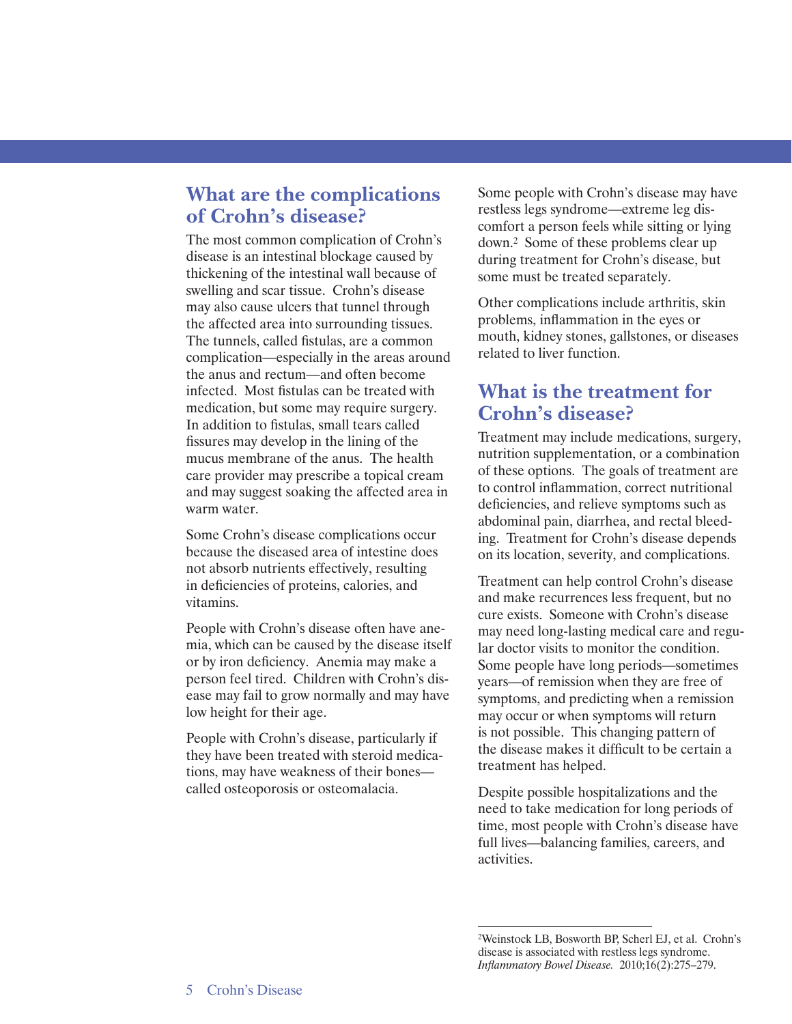## **What are the complications of Crohn's disease?**

The most common complication of Crohn's disease is an intestinal blockage caused by thickening of the intestinal wall because of swelling and scar tissue. Crohn's disease may also cause ulcers that tunnel through the affected area into surrounding tissues. The tunnels, called fistulas, are a common complication—especially in the areas around the anus and rectum—and often become infected. Most fistulas can be treated with medication, but some may require surgery. In addition to fistulas, small tears called fissures may develop in the lining of the mucus membrane of the anus. The health care provider may prescribe a topical cream and may suggest soaking the affected area in warm water.

Some Crohn's disease complications occur because the diseased area of intestine does not absorb nutrients effectively, resulting in deficiencies of proteins, calories, and vitamins.

People with Crohn's disease often have anemia, which can be caused by the disease itself or by iron deficiency. Anemia may make a person feel tired. Children with Crohn's disease may fail to grow normally and may have low height for their age.

People with Crohn's disease, particularly if they have been treated with steroid medications, may have weakness of their bones called osteoporosis or osteomalacia.

Some people with Crohn's disease may have restless legs syndrome—extreme leg discomfort a person feels while sitting or lying down.2 Some of these problems clear up during treatment for Crohn's disease, but some must be treated separately.

Other complications include arthritis, skin problems, inflammation in the eyes or mouth, kidney stones, gallstones, or diseases related to liver function.

## **What is the treatment for Crohn's disease?**

Treatment may include medications, surgery, nutrition supplementation, or a combination of these options. The goals of treatment are to control inflammation, correct nutritional deficiencies, and relieve symptoms such as abdominal pain, diarrhea, and rectal bleeding. Treatment for Crohn's disease depends on its location, severity, and complications.

Treatment can help control Crohn's disease and make recurrences less frequent, but no cure exists. Someone with Crohn's disease may need long-lasting medical care and regular doctor visits to monitor the condition. Some people have long periods—sometimes years—of remission when they are free of symptoms, and predicting when a remission may occur or when symptoms will return is not possible. This changing pattern of the disease makes it difficult to be certain a treatment has helped.

Despite possible hospitalizations and the need to take medication for long periods of time, most people with Crohn's disease have full lives—balancing families, careers, and activities.

<sup>2</sup>Weinstock LB, Bosworth BP, Scherl EJ, et al. Crohn's disease is associated with restless legs syndrome. *Inflammatory Bowel Disease.* 2010;16(2):275–279.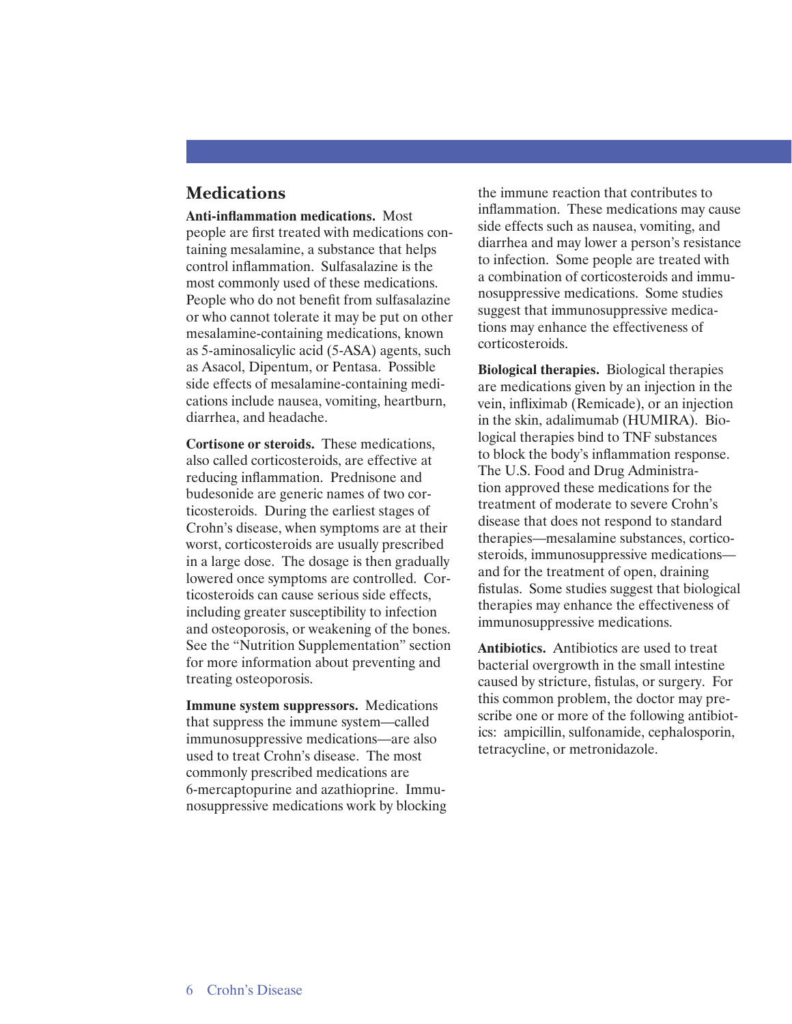#### **Medications**

**Anti-inflammation medications.** Most people are first treated with medications containing mesalamine, a substance that helps control inflammation. Sulfasalazine is the most commonly used of these medications. People who do not benefit from sulfasalazine or who cannot tolerate it may be put on other mesalamine-containing medications, known as 5-aminosalicylic acid (5-ASA) agents, such as Asacol, Dipentum, or Pentasa. Possible side effects of mesalamine-containing medications include nausea, vomiting, heartburn, diarrhea, and headache.

**Cortisone or steroids.** These medications, also called corticosteroids, are effective at reducing inflammation. Prednisone and budesonide are generic names of two corticosteroids. During the earliest stages of Crohn's disease, when symptoms are at their worst, corticosteroids are usually prescribed in a large dose. The dosage is then gradually lowered once symptoms are controlled. Corticosteroids can cause serious side effects, including greater susceptibility to infection and osteoporosis, or weakening of the bones. See the "Nutrition Supplementation" section for more information about preventing and treating osteoporosis.

**Immune system suppressors.** Medications that suppress the immune system—called immunosuppressive medications—are also used to treat Crohn's disease. The most commonly prescribed medications are 6-mercaptopurine and azathioprine. Immunosuppressive medications work by blocking the immune reaction that contributes to inflammation. These medications may cause side effects such as nausea, vomiting, and diarrhea and may lower a person's resistance to infection. Some people are treated with a combination of corticosteroids and immunosuppressive medications. Some studies suggest that immunosuppressive medications may enhance the effectiveness of corticosteroids.

**Biological therapies.** Biological therapies are medications given by an injection in the vein, infliximab (Remicade), or an injection in the skin, adalimumab (HUMIRA). Biological therapies bind to TNF substances to block the body's inflammation response. The U.S. Food and Drug Administration approved these medications for the treatment of moderate to severe Crohn's disease that does not respond to standard therapies—mesalamine substances, corticosteroids, immunosuppressive medications and for the treatment of open, draining fistulas. Some studies suggest that biological therapies may enhance the effectiveness of immunosuppressive medications.

**Antibiotics.** Antibiotics are used to treat bacterial overgrowth in the small intestine caused by stricture, fistulas, or surgery. For this common problem, the doctor may prescribe one or more of the following antibiotics: ampicillin, sulfonamide, cephalosporin, tetracycline, or metronidazole.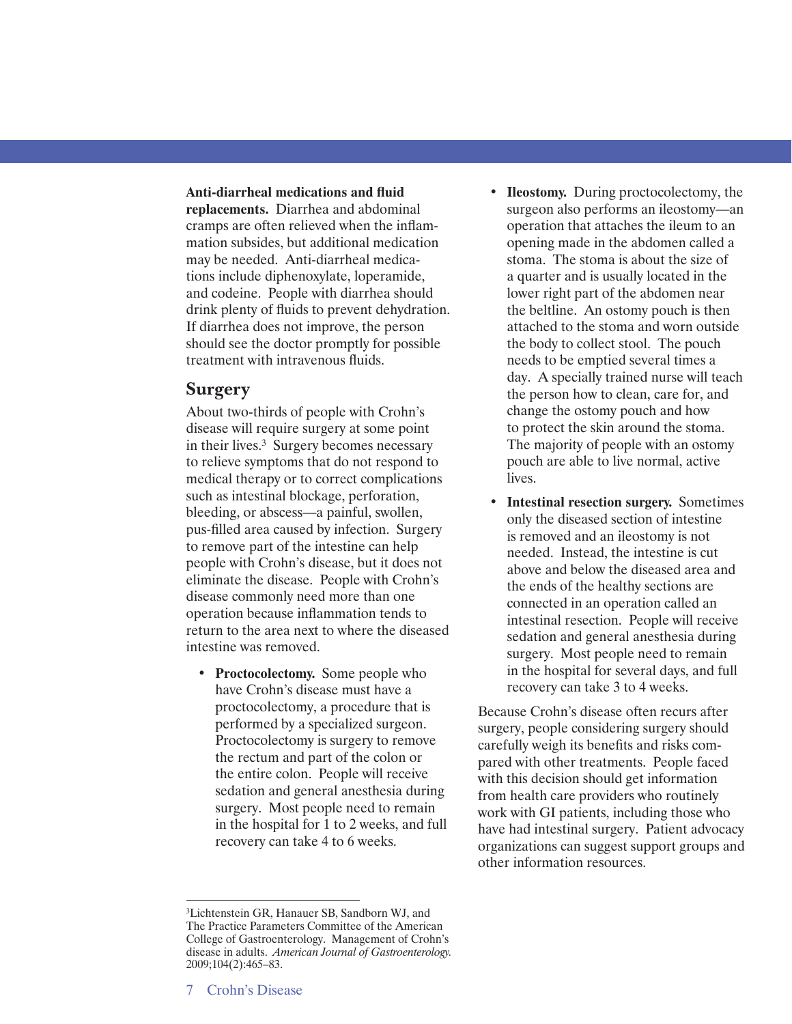#### **Anti-diarrheal medications and fluid**

**replacements.** Diarrhea and abdominal cramps are often relieved when the inflammation subsides, but additional medication may be needed. Anti-diarrheal medications include diphenoxylate, loperamide, and codeine. People with diarrhea should drink plenty of fluids to prevent dehydration. If diarrhea does not improve, the person should see the doctor promptly for possible treatment with intravenous fluids.

#### **Surgery**

About two-thirds of people with Crohn's disease will require surgery at some point in their lives.3 Surgery becomes necessary to relieve symptoms that do not respond to medical therapy or to correct complications such as intestinal blockage, perforation, bleeding, or abscess—a painful, swollen, pus-filled area caused by infection. Surgery to remove part of the intestine can help people with Crohn's disease, but it does not eliminate the disease. People with Crohn's disease commonly need more than one operation because inflammation tends to return to the area next to where the diseased intestine was removed.

• **Proctocolectomy.** Some people who have Crohn's disease must have a proctocolectomy, a procedure that is performed by a specialized surgeon. Proctocolectomy is surgery to remove the rectum and part of the colon or the entire colon. People will receive sedation and general anesthesia during surgery. Most people need to remain in the hospital for 1 to 2 weeks, and full recovery can take 4 to 6 weeks.

- **Ileostomy.** During proctocolectomy, the surgeon also performs an ileostomy—an operation that attaches the ileum to an opening made in the abdomen called a stoma. The stoma is about the size of a quarter and is usually located in the lower right part of the abdomen near the beltline. An ostomy pouch is then attached to the stoma and worn outside the body to collect stool. The pouch needs to be emptied several times a day. A specially trained nurse will teach the person how to clean, care for, and change the ostomy pouch and how to protect the skin around the stoma. The majority of people with an ostomy pouch are able to live normal, active lives.
- **Intestinal resection surgery.** Sometimes only the diseased section of intestine is removed and an ileostomy is not needed. Instead, the intestine is cut above and below the diseased area and the ends of the healthy sections are connected in an operation called an intestinal resection. People will receive sedation and general anesthesia during surgery. Most people need to remain in the hospital for several days, and full recovery can take 3 to 4 weeks.

Because Crohn's disease often recurs after surgery, people considering surgery should carefully weigh its benefits and risks compared with other treatments. People faced with this decision should get information from health care providers who routinely work with GI patients, including those who have had intestinal surgery. Patient advocacy organizations can suggest support groups and other information resources.

<sup>3</sup>Lichtenstein GR, Hanauer SB, Sandborn WJ, and The Practice Parameters Committee of the American College of Gastroenterology. Management of Crohn's disease in adults. *American Journal of Gastroenterology.*  2009;104(2):465–83.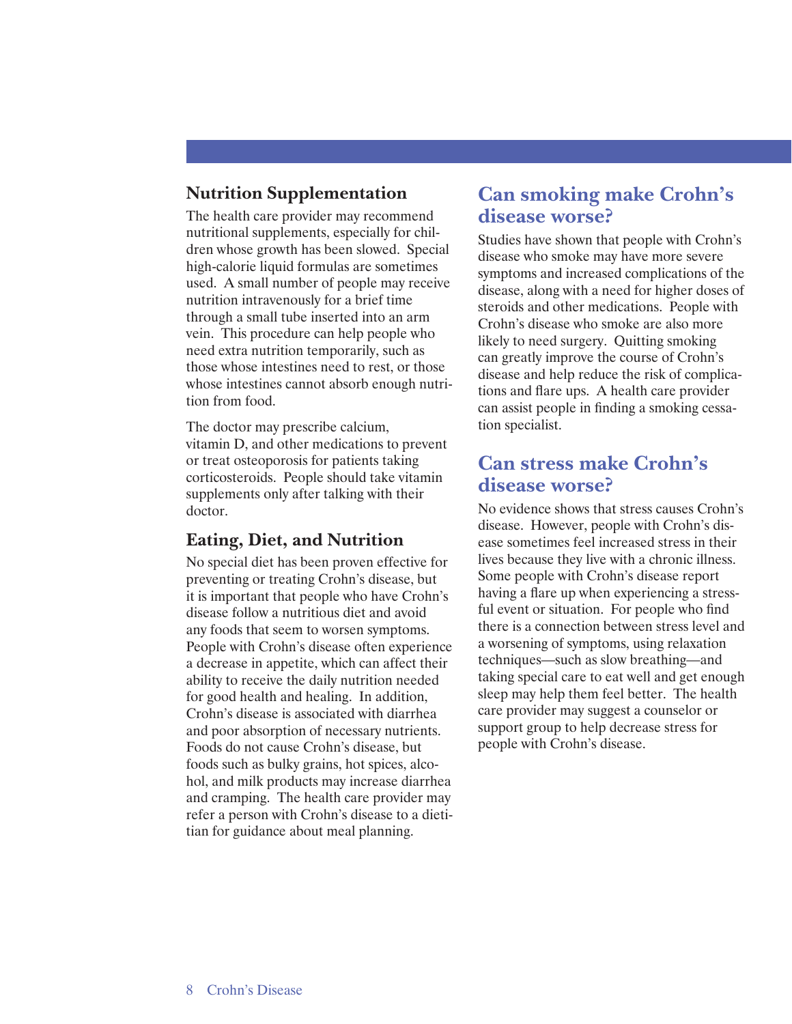## **Nutrition Supplementation**

The health care provider may recommend nutritional supplements, especially for children whose growth has been slowed. Special high-calorie liquid formulas are sometimes used. A small number of people may receive nutrition intravenously for a brief time through a small tube inserted into an arm vein. This procedure can help people who need extra nutrition temporarily, such as those whose intestines need to rest, or those whose intestines cannot absorb enough nutrition from food.

The doctor may prescribe calcium, vitamin D, and other medications to prevent or treat osteoporosis for patients taking corticosteroids. People should take vitamin supplements only after talking with their doctor.

#### **Eating, Diet, and Nutrition**

No special diet has been proven effective for preventing or treating Crohn's disease, but it is important that people who have Crohn's disease follow a nutritious diet and avoid any foods that seem to worsen symptoms. People with Crohn's disease often experience a decrease in appetite, which can affect their ability to receive the daily nutrition needed for good health and healing. In addition, Crohn's disease is associated with diarrhea and poor absorption of necessary nutrients. Foods do not cause Crohn's disease, but foods such as bulky grains, hot spices, alcohol, and milk products may increase diarrhea and cramping. The health care provider may refer a person with Crohn's disease to a dietitian for guidance about meal planning.

# **Can smoking make Crohn's disease worse?**

Studies have shown that people with Crohn's disease who smoke may have more severe symptoms and increased complications of the disease, along with a need for higher doses of steroids and other medications. People with Crohn's disease who smoke are also more likely to need surgery. Quitting smoking can greatly improve the course of Crohn's disease and help reduce the risk of complications and flare ups. A health care provider can assist people in finding a smoking cessation specialist.

## **Can stress make Crohn's disease worse?**

No evidence shows that stress causes Crohn's disease. However, people with Crohn's disease sometimes feel increased stress in their lives because they live with a chronic illness. Some people with Crohn's disease report having a flare up when experiencing a stressful event or situation. For people who find there is a connection between stress level and a worsening of symptoms, using relaxation techniques—such as slow breathing—and taking special care to eat well and get enough sleep may help them feel better. The health care provider may suggest a counselor or support group to help decrease stress for people with Crohn's disease.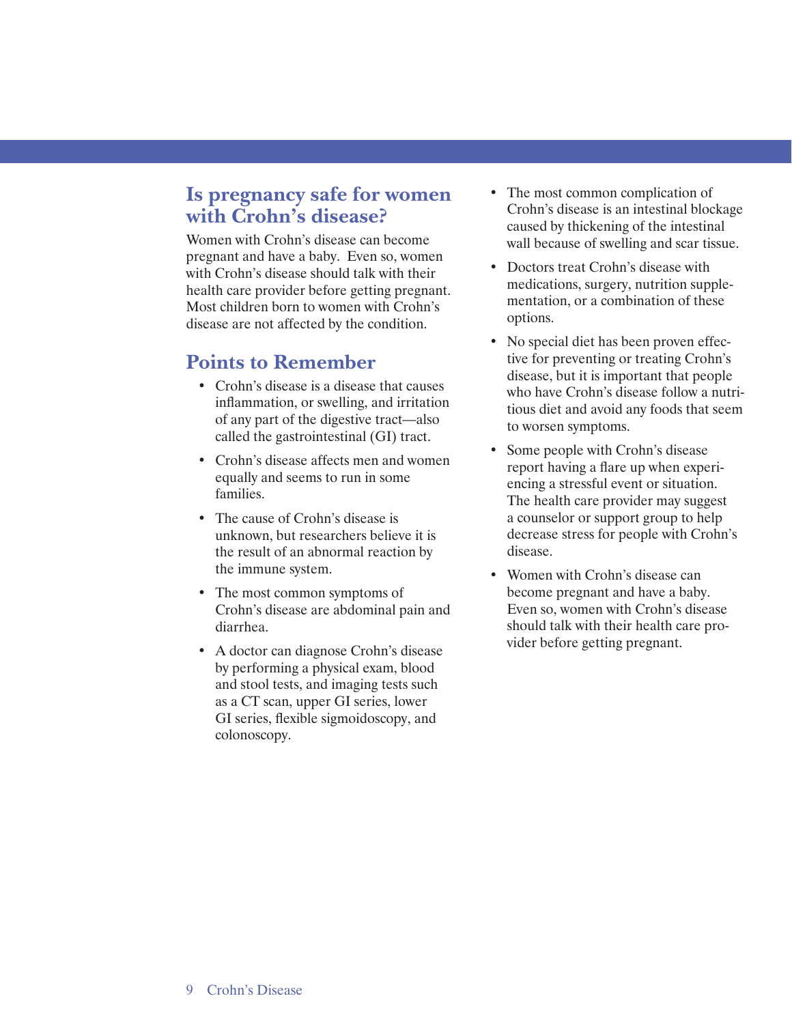# **Is pregnancy safe for women with Crohn's disease?**

Women with Crohn's disease can become pregnant and have a baby. Even so, women with Crohn's disease should talk with their health care provider before getting pregnant. Most children born to women with Crohn's disease are not affected by the condition.

#### **Points to Remember**

- Crohn's disease is a disease that causes inflammation, or swelling, and irritation of any part of the digestive tract—also called the gastrointestinal (GI) tract.
- Crohn's disease affects men and women equally and seems to run in some families.
- The cause of Crohn's disease is unknown, but researchers believe it is the result of an abnormal reaction by the immune system.
- The most common symptoms of Crohn's disease are abdominal pain and diarrhea.
- A doctor can diagnose Crohn's disease by performing a physical exam, blood and stool tests, and imaging tests such as a CT scan, upper GI series, lower GI series, flexible sigmoidoscopy, and colonoscopy.
- The most common complication of Crohn's disease is an intestinal blockage caused by thickening of the intestinal wall because of swelling and scar tissue.
- Doctors treat Crohn's disease with medications, surgery, nutrition supplementation, or a combination of these options.
- No special diet has been proven effective for preventing or treating Crohn's disease, but it is important that people who have Crohn's disease follow a nutritious diet and avoid any foods that seem to worsen symptoms.
- Some people with Crohn's disease report having a flare up when experiencing a stressful event or situation. The health care provider may suggest a counselor or support group to help decrease stress for people with Crohn's disease.
- Women with Crohn's disease can become pregnant and have a baby. Even so, women with Crohn's disease should talk with their health care provider before getting pregnant.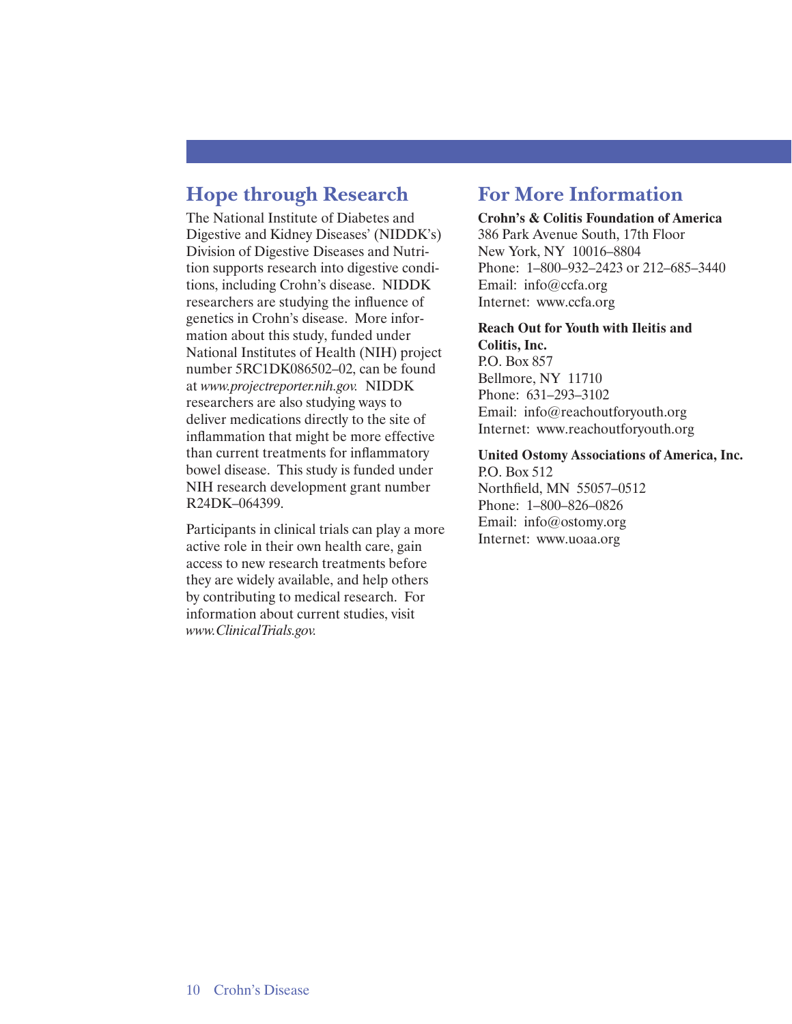# **Hope through Research**

The National Institute of Diabetes and Digestive and Kidney Diseases' (NIDDK's) Division of Digestive Diseases and Nutrition supports research into digestive conditions, including Crohn's disease. NIDDK researchers are studying the influence of genetics in Crohn's disease. More information about this study, funded under National Institutes of Health (NIH) project number 5RC1DK086502–02, can be found at *www.projectreporter.nih.gov.* NIDDK researchers are also studying ways to deliver medications directly to the site of inflammation that might be more effective than current treatments for inflammatory bowel disease. This study is funded under NIH research development grant number R24DK–064399.

Participants in clinical trials can play a more active role in their own health care, gain access to new research treatments before they are widely available, and help others by contributing to medical research. For information about current studies, visit *www.ClinicalTrials.gov.* 

# **For More Information**

#### **Crohn's & Colitis Foundation of America**  386 Park Avenue South, 17th Floor New York, NY 10016–8804 Phone: 1–800–932–2423 or 212–685–3440 Email: info@ccfa.org Internet: www.ccfa.org

#### **Reach Out for Youth with Ileitis and Colitis, Inc.**

P.O. Box 857 Bellmore, NY 11710 Phone: 631–293–3102 Email: info@reachoutforyouth.org Internet: www.reachoutforyouth.org

#### **United Ostomy Associations of America, Inc.**

P.O. Box 512 Northfield, MN 55057–0512 Phone: 1–800–826–0826 Email: info@ostomy.org Internet: www.uoaa.org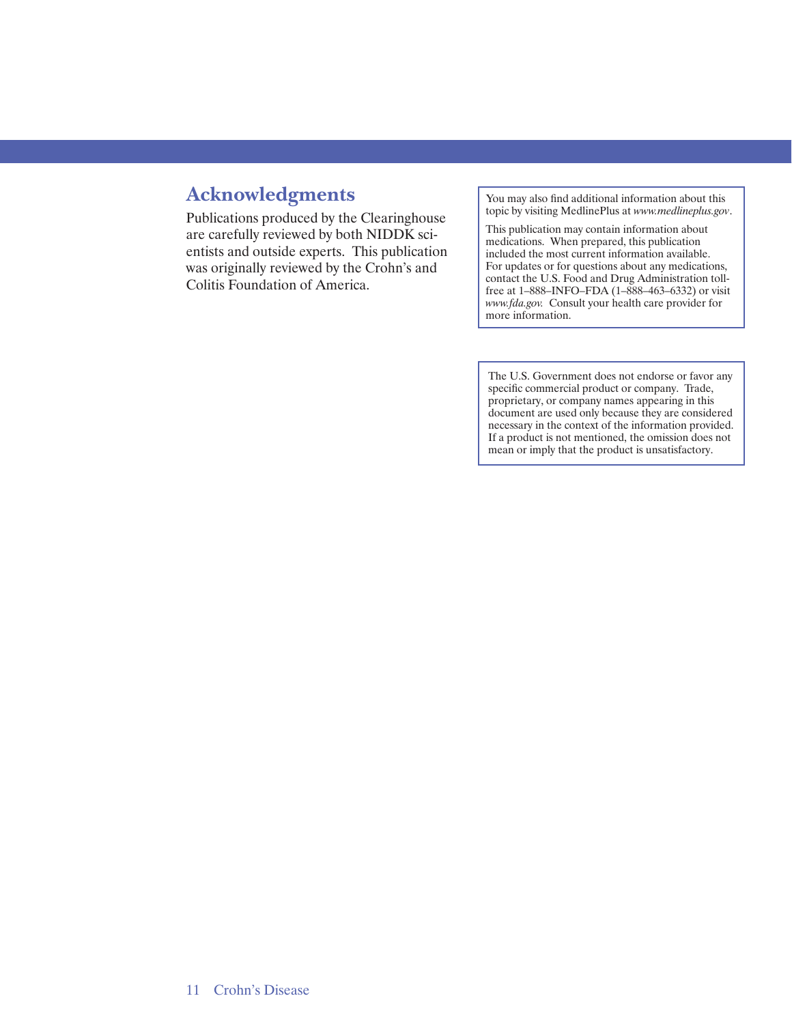# **Acknowledgments**

Publications produced by the Clearinghouse are carefully reviewed by both NIDDK scientists and outside experts. This publication was originally reviewed by the Crohn's and Colitis Foundation of America.

You may also find additional information about this topic by visiting MedlinePlus at *www.medlineplus.gov*.

This publication may contain information about medications. When prepared, this publication included the most current information available. For updates or for questions about any medications, contact the U.S. Food and Drug Administration tollfree at 1–888–INFO–FDA (1–888–463–6332) or visit *www.fda.gov.* Consult your health care provider for more information.

The U.S. Government does not endorse or favor any specific commercial product or company. Trade, proprietary, or company names appearing in this document are used only because they are considered necessary in the context of the information provided. If a product is not mentioned, the omission does not mean or imply that the product is unsatisfactory.